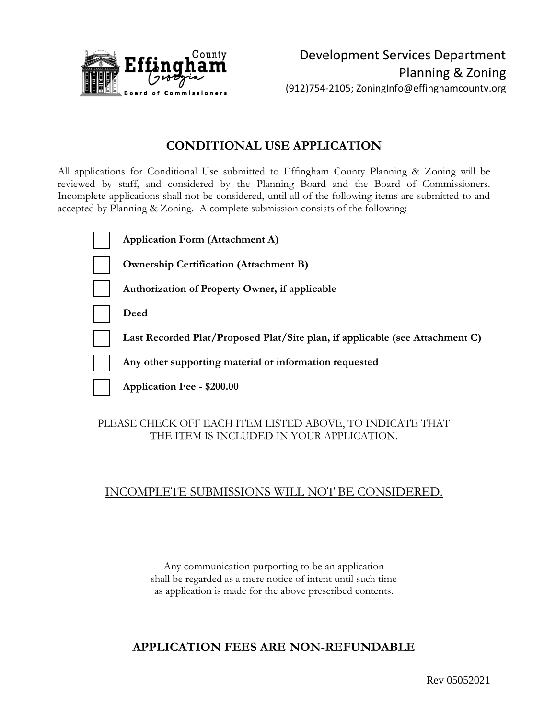

### **CONDITIONAL USE APPLICATION**

All applications for Conditional Use submitted to Effingham County Planning & Zoning will be reviewed by staff, and considered by the Planning Board and the Board of Commissioners. Incomplete applications shall not be considered, until all of the following items are submitted to and accepted by Planning & Zoning. A complete submission consists of the following:

| <b>Application Form (Attachment A)</b>                                       |
|------------------------------------------------------------------------------|
| <b>Ownership Certification (Attachment B)</b>                                |
| Authorization of Property Owner, if applicable                               |
| Deed                                                                         |
| Last Recorded Plat/Proposed Plat/Site plan, if applicable (see Attachment C) |
| Any other supporting material or information requested                       |
| Application Fee - \$200.00                                                   |

#### PLEASE CHECK OFF EACH ITEM LISTED ABOVE, TO INDICATE THAT THE ITEM IS INCLUDED IN YOUR APPLICATION.

### INCOMPLETE SUBMISSIONS WILL NOT BE CONSIDERED.

Any communication purporting to be an application shall be regarded as a mere notice of intent until such time as application is made for the above prescribed contents.

### **APPLICATION FEES ARE NON-REFUNDABLE**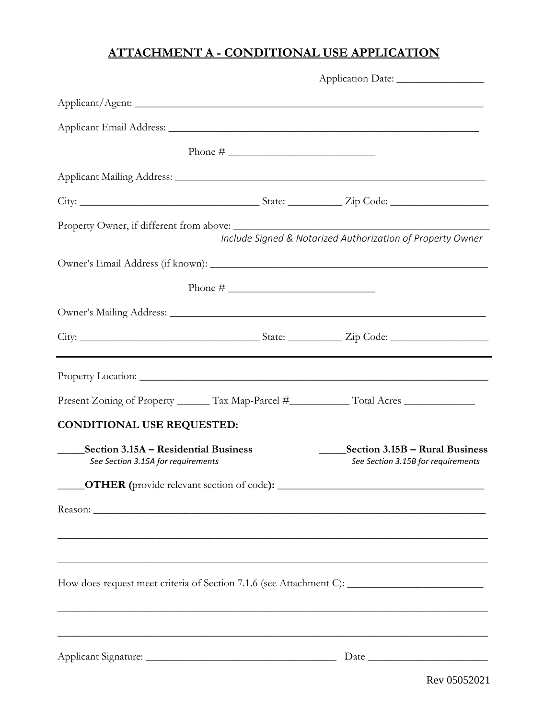# **ATTACHMENT A - CONDITIONAL USE APPLICATION**

| Application Date:                                                                                                                                                                                                                                                                                                     |                                                                      |  |
|-----------------------------------------------------------------------------------------------------------------------------------------------------------------------------------------------------------------------------------------------------------------------------------------------------------------------|----------------------------------------------------------------------|--|
|                                                                                                                                                                                                                                                                                                                       |                                                                      |  |
| Applicant Email Address:                                                                                                                                                                                                                                                                                              |                                                                      |  |
| Phone # $\frac{1}{2}$ $\frac{1}{2}$ $\frac{1}{2}$ $\frac{1}{2}$ $\frac{1}{2}$ $\frac{1}{2}$ $\frac{1}{2}$ $\frac{1}{2}$ $\frac{1}{2}$ $\frac{1}{2}$ $\frac{1}{2}$ $\frac{1}{2}$ $\frac{1}{2}$ $\frac{1}{2}$ $\frac{1}{2}$ $\frac{1}{2}$ $\frac{1}{2}$ $\frac{1}{2}$ $\frac{1}{2}$ $\frac{1}{2}$ $\frac{1}{2}$ $\frac$ |                                                                      |  |
|                                                                                                                                                                                                                                                                                                                       |                                                                      |  |
|                                                                                                                                                                                                                                                                                                                       |                                                                      |  |
|                                                                                                                                                                                                                                                                                                                       | Include Signed & Notarized Authorization of Property Owner           |  |
|                                                                                                                                                                                                                                                                                                                       |                                                                      |  |
|                                                                                                                                                                                                                                                                                                                       |                                                                      |  |
| Owner's Mailing Address: New York Contract to the Contract of the Contract of the Contract of the Contract of the Contract of the Contract of the Contract of the Contract of the Contract of the Contract of the Contract of                                                                                         |                                                                      |  |
|                                                                                                                                                                                                                                                                                                                       |                                                                      |  |
|                                                                                                                                                                                                                                                                                                                       |                                                                      |  |
| Present Zoning of Property _______ Tax Map-Parcel #______________ Total Acres _____________________                                                                                                                                                                                                                   |                                                                      |  |
| <b>CONDITIONAL USE REQUESTED:</b>                                                                                                                                                                                                                                                                                     |                                                                      |  |
| Section 3.15A – Residential Business<br>See Section 3.15A for requirements                                                                                                                                                                                                                                            | Section 3.15B – Rural Business<br>See Section 3.15B for requirements |  |
|                                                                                                                                                                                                                                                                                                                       |                                                                      |  |
| Reason:                                                                                                                                                                                                                                                                                                               |                                                                      |  |
| ,我们也不能在这里的时候,我们也不能在这里的时候,我们也不能会在这里的时候,我们也不能会在这里的时候,我们也不能会在这里的时候,我们也不能会在这里的时候,我们也不                                                                                                                                                                                                                                     |                                                                      |  |
| ,我们也不能在这里的时候,我们也不能在这里的时候,我们也不能不能不能不能不能不能不能不能不能不能不能不能不能不能不能。""我们的是,我们也不能不能不能不能不能不                                                                                                                                                                                                                                      |                                                                      |  |
| How does request meet criteria of Section 7.1.6 (see Attachment C): ________________________________                                                                                                                                                                                                                  |                                                                      |  |
| ,我们也不能在这里的时候,我们也不能在这里的时候,我们也不能在这里的时候,我们也不能会在这里的时候,我们也不能会在这里的时候,我们也不能会在这里的时候,我们也不能                                                                                                                                                                                                                                     |                                                                      |  |
|                                                                                                                                                                                                                                                                                                                       |                                                                      |  |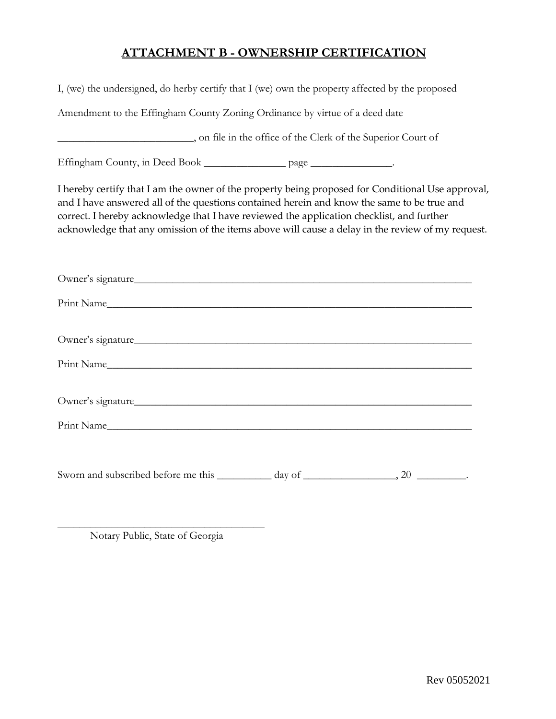# **ATTACHMENT B - OWNERSHIP CERTIFICATION**

| I, (we) the undersigned, do herby certify that I (we) own the property affected by the proposed                                                                                                                                                                                                                                                                                                  |
|--------------------------------------------------------------------------------------------------------------------------------------------------------------------------------------------------------------------------------------------------------------------------------------------------------------------------------------------------------------------------------------------------|
| Amendment to the Effingham County Zoning Ordinance by virtue of a deed date                                                                                                                                                                                                                                                                                                                      |
|                                                                                                                                                                                                                                                                                                                                                                                                  |
| Effingham County, in Deed Book __________________ page ________________.                                                                                                                                                                                                                                                                                                                         |
| I hereby certify that I am the owner of the property being proposed for Conditional Use approval,<br>and I have answered all of the questions contained herein and know the same to be true and<br>correct. I hereby acknowledge that I have reviewed the application checklist, and further<br>acknowledge that any omission of the items above will cause a delay in the review of my request. |
| Owner's signature                                                                                                                                                                                                                                                                                                                                                                                |
| Print Name                                                                                                                                                                                                                                                                                                                                                                                       |
| Owner's signature                                                                                                                                                                                                                                                                                                                                                                                |
| Print Name                                                                                                                                                                                                                                                                                                                                                                                       |
| Owner's signature                                                                                                                                                                                                                                                                                                                                                                                |
|                                                                                                                                                                                                                                                                                                                                                                                                  |
|                                                                                                                                                                                                                                                                                                                                                                                                  |

\_\_\_\_\_\_\_\_\_\_\_\_\_\_\_\_\_\_\_\_\_\_\_\_\_\_\_\_\_\_\_\_\_\_\_\_\_\_ Notary Public, State of Georgia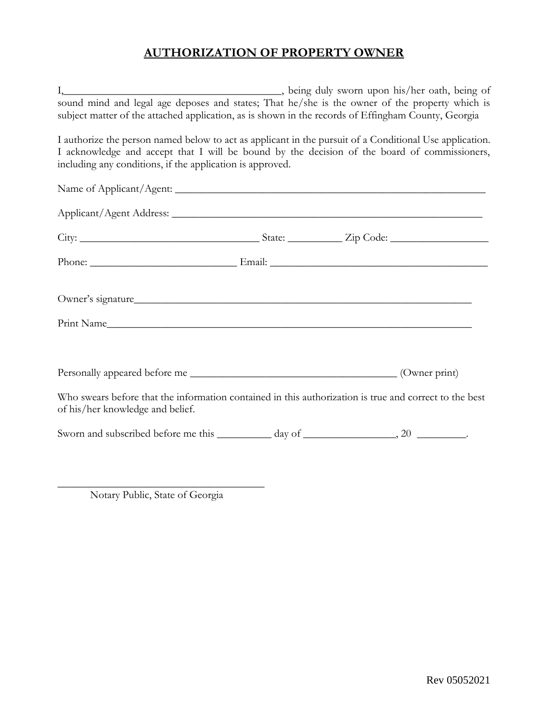# **AUTHORIZATION OF PROPERTY OWNER**

| I, being duly sworn upon his/her oath, being of<br>sound mind and legal age deposes and states; That he/she is the owner of the property which is<br>subject matter of the attached application, as is shown in the records of Effingham County, Georgia             |  |  |
|----------------------------------------------------------------------------------------------------------------------------------------------------------------------------------------------------------------------------------------------------------------------|--|--|
| I authorize the person named below to act as applicant in the pursuit of a Conditional Use application.<br>I acknowledge and accept that I will be bound by the decision of the board of commissioners,<br>including any conditions, if the application is approved. |  |  |
|                                                                                                                                                                                                                                                                      |  |  |
|                                                                                                                                                                                                                                                                      |  |  |
|                                                                                                                                                                                                                                                                      |  |  |
|                                                                                                                                                                                                                                                                      |  |  |
| Owner's signature                                                                                                                                                                                                                                                    |  |  |
| Print Name and the contract of the contract of the contract of the contract of the contract of the contract of the contract of the contract of the contract of the contract of the contract of the contract of the contract of                                       |  |  |
|                                                                                                                                                                                                                                                                      |  |  |
| Who swears before that the information contained in this authorization is true and correct to the best<br>of his/her knowledge and belief.                                                                                                                           |  |  |
|                                                                                                                                                                                                                                                                      |  |  |
|                                                                                                                                                                                                                                                                      |  |  |

\_\_\_\_\_\_\_\_\_\_\_\_\_\_\_\_\_\_\_\_\_\_\_\_\_\_\_\_\_\_\_\_\_\_\_\_\_\_ Notary Public, State of Georgia